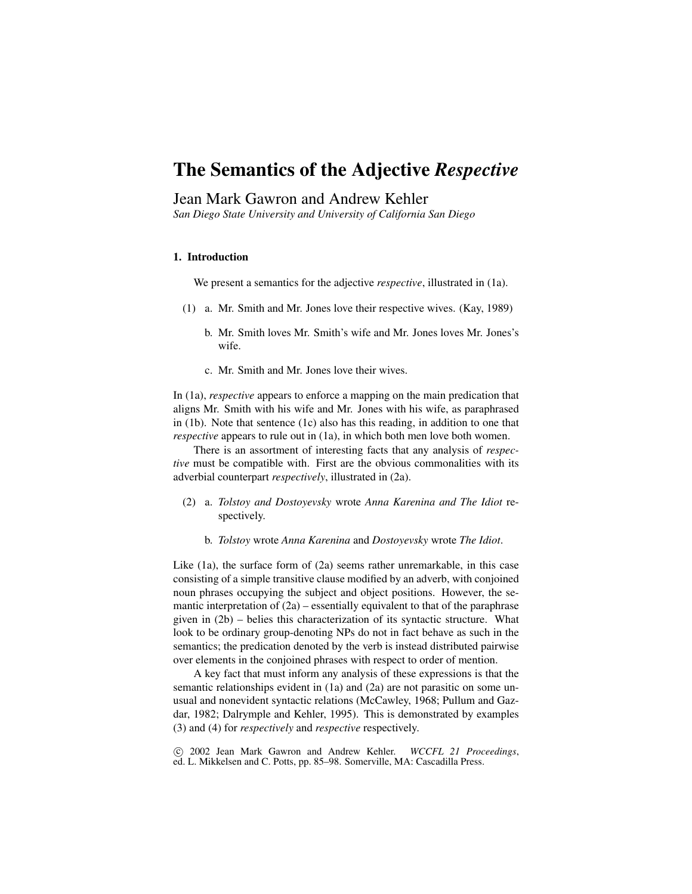# The Semantics of the Adjective *Respective*

# Jean Mark Gawron and Andrew Kehler

*San Diego State University and University of California San Diego*

#### 1. Introduction

We present a semantics for the adjective *respective*, illustrated in (1a).

- (1) a. Mr. Smith and Mr. Jones love their respective wives. (Kay, 1989)
	- b. Mr. Smith loves Mr. Smith's wife and Mr. Jones loves Mr. Jones's wife.
	- c. Mr. Smith and Mr. Jones love their wives.

In (1a), *respective* appears to enforce a mapping on the main predication that aligns Mr. Smith with his wife and Mr. Jones with his wife, as paraphrased in (1b). Note that sentence (1c) also has this reading, in addition to one that *respective* appears to rule out in (1a), in which both men love both women.

There is an assortment of interesting facts that any analysis of *respective* must be compatible with. First are the obvious commonalities with its adverbial counterpart *respectively*, illustrated in (2a).

- (2) a. *Tolstoy and Dostoyevsky* wrote *Anna Karenina and The Idiot* respectively.
	- b. *Tolstoy* wrote *Anna Karenina* and *Dostoyevsky* wrote *The Idiot*.

Like (1a), the surface form of (2a) seems rather unremarkable, in this case consisting of a simple transitive clause modified by an adverb, with conjoined noun phrases occupying the subject and object positions. However, the semantic interpretation of  $(2a)$  – essentially equivalent to that of the paraphrase given in (2b) – belies this characterization of its syntactic structure. What look to be ordinary group-denoting NPs do not in fact behave as such in the semantics; the predication denoted by the verb is instead distributed pairwise over elements in the conjoined phrases with respect to order of mention.

A key fact that must inform any analysis of these expressions is that the semantic relationships evident in (1a) and (2a) are not parasitic on some unusual and nonevident syntactic relations (McCawley, 1968; Pullum and Gazdar, 1982; Dalrymple and Kehler, 1995). This is demonstrated by examples (3) and (4) for *respectively* and *respective* respectively.

°c 2002 Jean Mark Gawron and Andrew Kehler. *WCCFL 21 Proceedings*, ed. L. Mikkelsen and C. Potts, pp. 85–98. Somerville, MA: Cascadilla Press.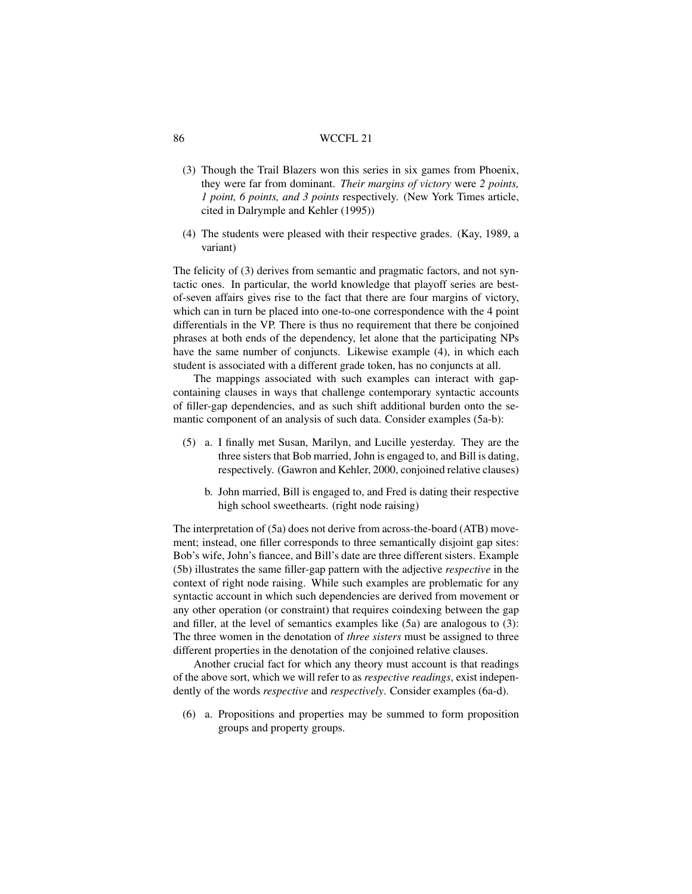- (3) Though the Trail Blazers won this series in six games from Phoenix, they were far from dominant. *Their margins of victory* were *2 points, 1 point, 6 points, and 3 points* respectively. (New York Times article, cited in Dalrymple and Kehler (1995))
- (4) The students were pleased with their respective grades. (Kay, 1989, a variant)

The felicity of (3) derives from semantic and pragmatic factors, and not syntactic ones. In particular, the world knowledge that playoff series are bestof-seven affairs gives rise to the fact that there are four margins of victory, which can in turn be placed into one-to-one correspondence with the 4 point differentials in the VP. There is thus no requirement that there be conjoined phrases at both ends of the dependency, let alone that the participating NPs have the same number of conjuncts. Likewise example (4), in which each student is associated with a different grade token, has no conjuncts at all.

The mappings associated with such examples can interact with gapcontaining clauses in ways that challenge contemporary syntactic accounts of filler-gap dependencies, and as such shift additional burden onto the semantic component of an analysis of such data. Consider examples (5a-b):

- (5) a. I finally met Susan, Marilyn, and Lucille yesterday. They are the three sisters that Bob married, John is engaged to, and Bill is dating, respectively. (Gawron and Kehler, 2000, conjoined relative clauses)
	- b. John married, Bill is engaged to, and Fred is dating their respective high school sweethearts. (right node raising)

The interpretation of (5a) does not derive from across-the-board (ATB) movement; instead, one filler corresponds to three semantically disjoint gap sites: Bob's wife, John's fiancee, and Bill's date are three different sisters. Example (5b) illustrates the same filler-gap pattern with the adjective *respective* in the context of right node raising. While such examples are problematic for any syntactic account in which such dependencies are derived from movement or any other operation (or constraint) that requires coindexing between the gap and filler, at the level of semantics examples like (5a) are analogous to (3): The three women in the denotation of *three sisters* must be assigned to three different properties in the denotation of the conjoined relative clauses.

Another crucial fact for which any theory must account is that readings of the above sort, which we will refer to as *respective readings*, exist independently of the words *respective* and *respectively*. Consider examples (6a-d).

(6) a. Propositions and properties may be summed to form proposition groups and property groups.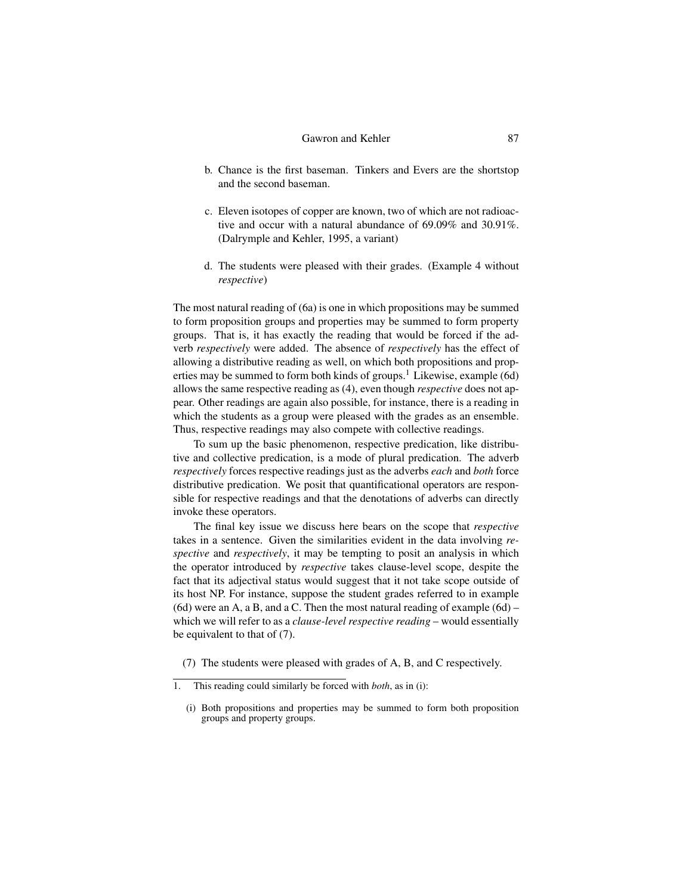- b. Chance is the first baseman. Tinkers and Evers are the shortstop and the second baseman.
- c. Eleven isotopes of copper are known, two of which are not radioactive and occur with a natural abundance of 69.09% and 30.91%. (Dalrymple and Kehler, 1995, a variant)
- d. The students were pleased with their grades. (Example 4 without *respective*)

The most natural reading of (6a) is one in which propositions may be summed to form proposition groups and properties may be summed to form property groups. That is, it has exactly the reading that would be forced if the adverb *respectively* were added. The absence of *respectively* has the effect of allowing a distributive reading as well, on which both propositions and properties may be summed to form both kinds of groups.<sup>1</sup> Likewise, example (6d) allows the same respective reading as (4), even though *respective* does not appear. Other readings are again also possible, for instance, there is a reading in which the students as a group were pleased with the grades as an ensemble. Thus, respective readings may also compete with collective readings.

To sum up the basic phenomenon, respective predication, like distributive and collective predication, is a mode of plural predication. The adverb *respectively* forces respective readings just as the adverbs *each* and *both* force distributive predication. We posit that quantificational operators are responsible for respective readings and that the denotations of adverbs can directly invoke these operators.

The final key issue we discuss here bears on the scope that *respective* takes in a sentence. Given the similarities evident in the data involving *respective* and *respectively*, it may be tempting to posit an analysis in which the operator introduced by *respective* takes clause-level scope, despite the fact that its adjectival status would suggest that it not take scope outside of its host NP. For instance, suppose the student grades referred to in example (6d) were an A, a B, and a C. Then the most natural reading of example (6d) – which we will refer to as a *clause-level respective reading* – would essentially be equivalent to that of (7).

(7) The students were pleased with grades of A, B, and C respectively.

<sup>1.</sup> This reading could similarly be forced with *both*, as in (i):

<sup>(</sup>i) Both propositions and properties may be summed to form both proposition groups and property groups.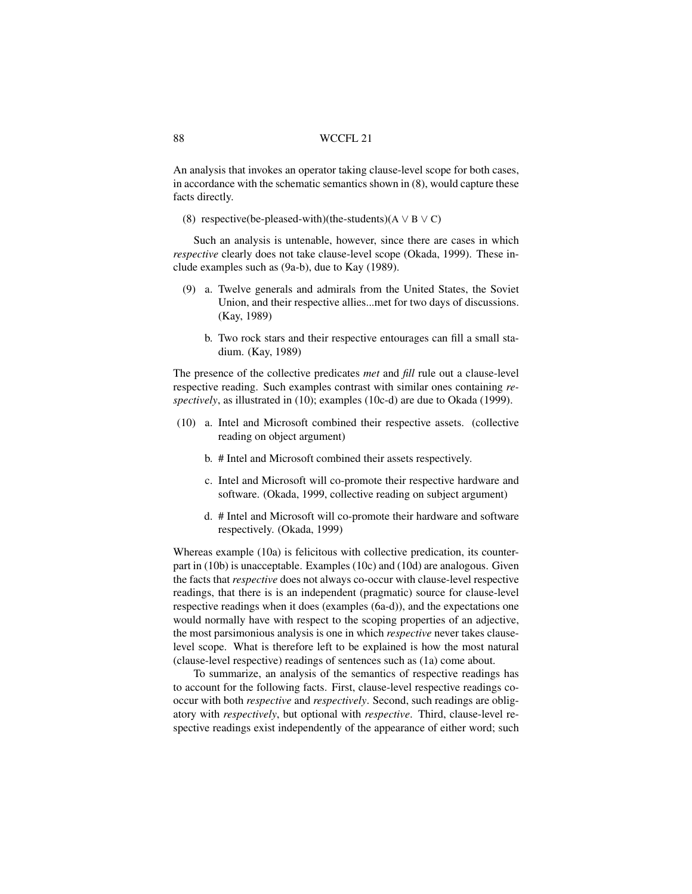An analysis that invokes an operator taking clause-level scope for both cases, in accordance with the schematic semantics shown in (8), would capture these facts directly.

(8) respective(be-pleased-with)(the-students)( $A \lor B \lor C$ )

Such an analysis is untenable, however, since there are cases in which *respective* clearly does not take clause-level scope (Okada, 1999). These include examples such as (9a-b), due to Kay (1989).

- (9) a. Twelve generals and admirals from the United States, the Soviet Union, and their respective allies...met for two days of discussions. (Kay, 1989)
	- b. Two rock stars and their respective entourages can fill a small stadium. (Kay, 1989)

The presence of the collective predicates *met* and *fill* rule out a clause-level respective reading. Such examples contrast with similar ones containing *respectively*, as illustrated in (10); examples (10c-d) are due to Okada (1999).

- (10) a. Intel and Microsoft combined their respective assets. (collective reading on object argument)
	- b. # Intel and Microsoft combined their assets respectively.
	- c. Intel and Microsoft will co-promote their respective hardware and software. (Okada, 1999, collective reading on subject argument)
	- d. # Intel and Microsoft will co-promote their hardware and software respectively. (Okada, 1999)

Whereas example (10a) is felicitous with collective predication, its counterpart in (10b) is unacceptable. Examples (10c) and (10d) are analogous. Given the facts that *respective* does not always co-occur with clause-level respective readings, that there is is an independent (pragmatic) source for clause-level respective readings when it does (examples (6a-d)), and the expectations one would normally have with respect to the scoping properties of an adjective, the most parsimonious analysis is one in which *respective* never takes clauselevel scope. What is therefore left to be explained is how the most natural (clause-level respective) readings of sentences such as (1a) come about.

To summarize, an analysis of the semantics of respective readings has to account for the following facts. First, clause-level respective readings cooccur with both *respective* and *respectively*. Second, such readings are obligatory with *respectively*, but optional with *respective*. Third, clause-level respective readings exist independently of the appearance of either word; such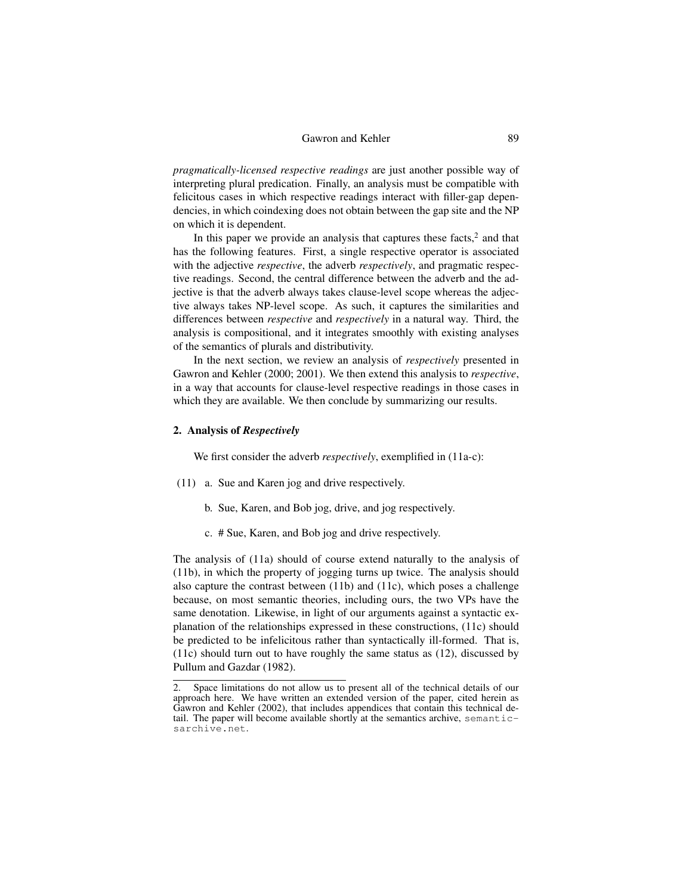*pragmatically-licensed respective readings* are just another possible way of interpreting plural predication. Finally, an analysis must be compatible with felicitous cases in which respective readings interact with filler-gap dependencies, in which coindexing does not obtain between the gap site and the NP on which it is dependent.

In this paper we provide an analysis that captures these facts, $2$  and that has the following features. First, a single respective operator is associated with the adjective *respective*, the adverb *respectively*, and pragmatic respective readings. Second, the central difference between the adverb and the adjective is that the adverb always takes clause-level scope whereas the adjective always takes NP-level scope. As such, it captures the similarities and differences between *respective* and *respectively* in a natural way. Third, the analysis is compositional, and it integrates smoothly with existing analyses of the semantics of plurals and distributivity.

In the next section, we review an analysis of *respectively* presented in Gawron and Kehler (2000; 2001). We then extend this analysis to *respective*, in a way that accounts for clause-level respective readings in those cases in which they are available. We then conclude by summarizing our results.

#### 2. Analysis of *Respectively*

We first consider the adverb *respectively*, exemplified in (11a-c):

- (11) a. Sue and Karen jog and drive respectively.
	- b. Sue, Karen, and Bob jog, drive, and jog respectively.
	- c. # Sue, Karen, and Bob jog and drive respectively.

The analysis of (11a) should of course extend naturally to the analysis of (11b), in which the property of jogging turns up twice. The analysis should also capture the contrast between (11b) and (11c), which poses a challenge because, on most semantic theories, including ours, the two VPs have the same denotation. Likewise, in light of our arguments against a syntactic explanation of the relationships expressed in these constructions, (11c) should be predicted to be infelicitous rather than syntactically ill-formed. That is, (11c) should turn out to have roughly the same status as (12), discussed by Pullum and Gazdar (1982).

<sup>2.</sup> Space limitations do not allow us to present all of the technical details of our approach here. We have written an extended version of the paper, cited herein as Gawron and Kehler (2002), that includes appendices that contain this technical detail. The paper will become available shortly at the semantics archive, semanticsarchive.net.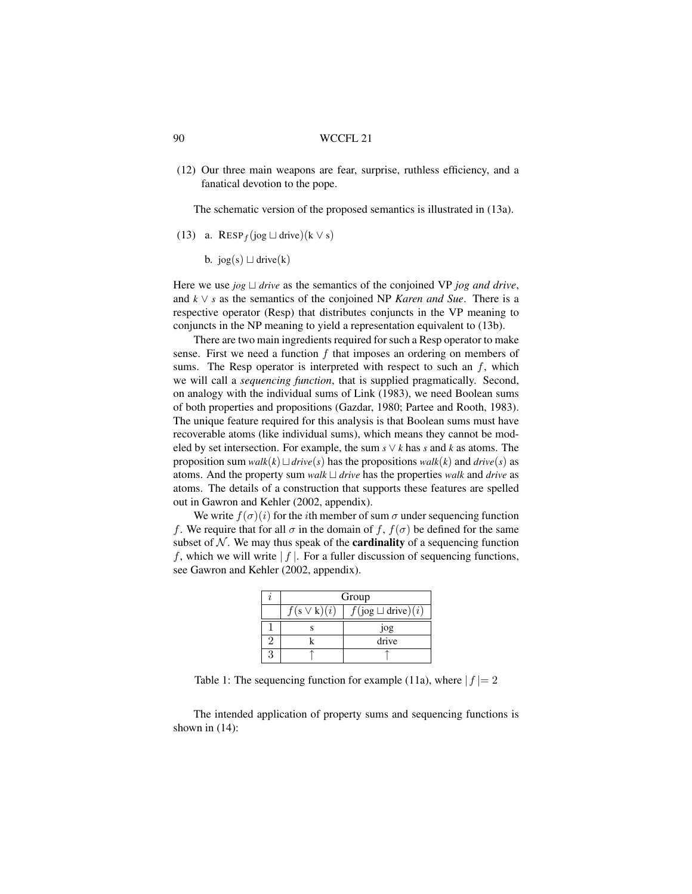(12) Our three main weapons are fear, surprise, ruthless efficiency, and a fanatical devotion to the pope.

The schematic version of the proposed semantics is illustrated in (13a).

- (13) a. RESP<sub>f</sub>(jog  $\sqcup$  drive)(k  $\vee$  s)
	- b. jog(s)  $\sqcup$  drive(k)

Here we use  $jog \perp drive$  as the semantics of the conjoined VP  $jog$  *and drive*, and *k* ∨ *s* as the semantics of the conjoined NP *Karen and Sue*. There is a respective operator (Resp) that distributes conjuncts in the VP meaning to conjuncts in the NP meaning to yield a representation equivalent to (13b).

There are two main ingredients required for such a Resp operator to make sense. First we need a function  $f$  that imposes an ordering on members of sums. The Resp operator is interpreted with respect to such an  $f$ , which we will call a *sequencing function*, that is supplied pragmatically. Second, on analogy with the individual sums of Link (1983), we need Boolean sums of both properties and propositions (Gazdar, 1980; Partee and Rooth, 1983). The unique feature required for this analysis is that Boolean sums must have recoverable atoms (like individual sums), which means they cannot be modeled by set intersection. For example, the sum  $s \vee k$  has  $s$  and  $k$  as atoms. The proposition sum *walk*(*k*)  $\sqcup$  *drive*(*s*) has the propositions *walk*(*k*) and *drive*(*s*) as atoms. And the property sum *walk*  $\sqcup$  *drive* has the properties *walk* and *drive* as atoms. The details of a construction that supports these features are spelled out in Gawron and Kehler (2002, appendix).

We write  $f(\sigma)(i)$  for the *i*th member of sum  $\sigma$  under sequencing function f. We require that for all  $\sigma$  in the domain of f,  $f(\sigma)$  be defined for the same subset of  $N$ . We may thus speak of the **cardinality** of a sequencing function f, which we will write  $|f|$ . For a fuller discussion of sequencing functions, see Gawron and Kehler (2002, appendix).

| Group            |                          |  |
|------------------|--------------------------|--|
| $f(s \vee k)(i)$ | $f(iog \sqcup drive)(i)$ |  |
|                  | jog                      |  |
|                  | drive                    |  |
|                  |                          |  |

Table 1: The sequencing function for example (11a), where  $|f| = 2$ 

The intended application of property sums and sequencing functions is shown in (14):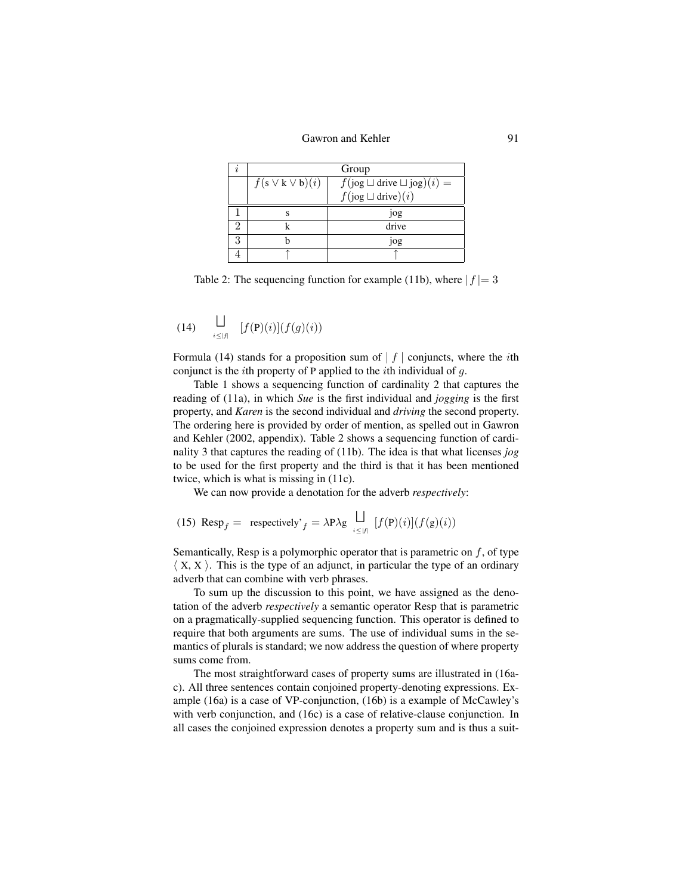| Group                   |                                       |
|-------------------------|---------------------------------------|
| $f(s \vee k \vee b)(i)$ | $f(iog \sqcup drive \sqcup jog)(i) =$ |
|                         | $f(iog \sqcup drive)(i)$              |
|                         | 10g                                   |
|                         | drive                                 |
|                         | 10g                                   |
|                         |                                       |

Table 2: The sequencing function for example (11b), where  $|f| = 3$ 

$$
(14) \qquad \bigsqcup_{i \leq |f|} \qquad [f(\mathbf{P})(i)](f(g)(i))
$$

Formula (14) stands for a proposition sum of  $|f|$  conjuncts, where the *i*th conjunct is the *i*th property of P applied to the *i*th individual of  $q$ .

Table 1 shows a sequencing function of cardinality 2 that captures the reading of (11a), in which *Sue* is the first individual and *jogging* is the first property, and *Karen* is the second individual and *driving* the second property. The ordering here is provided by order of mention, as spelled out in Gawron and Kehler (2002, appendix). Table 2 shows a sequencing function of cardinality 3 that captures the reading of (11b). The idea is that what licenses *jog* to be used for the first property and the third is that it has been mentioned twice, which is what is missing in (11c).

We can now provide a denotation for the adverb *respectively*:

(15) 
$$
\text{Resp}_f = \text{ respectively'}_f = \lambda \text{P} \lambda \text{g} \bigcup_{i \leq |f|} [f(\text{P})(i)](f(\text{g})(i))
$$

Semantically, Resp is a polymorphic operator that is parametric on  $f$ , of type  $\langle X, X \rangle$ . This is the type of an adjunct, in particular the type of an ordinary adverb that can combine with verb phrases.

To sum up the discussion to this point, we have assigned as the denotation of the adverb *respectively* a semantic operator Resp that is parametric on a pragmatically-supplied sequencing function. This operator is defined to require that both arguments are sums. The use of individual sums in the semantics of plurals is standard; we now address the question of where property sums come from.

The most straightforward cases of property sums are illustrated in (16ac). All three sentences contain conjoined property-denoting expressions. Example (16a) is a case of VP-conjunction, (16b) is a example of McCawley's with verb conjunction, and (16c) is a case of relative-clause conjunction. In all cases the conjoined expression denotes a property sum and is thus a suit-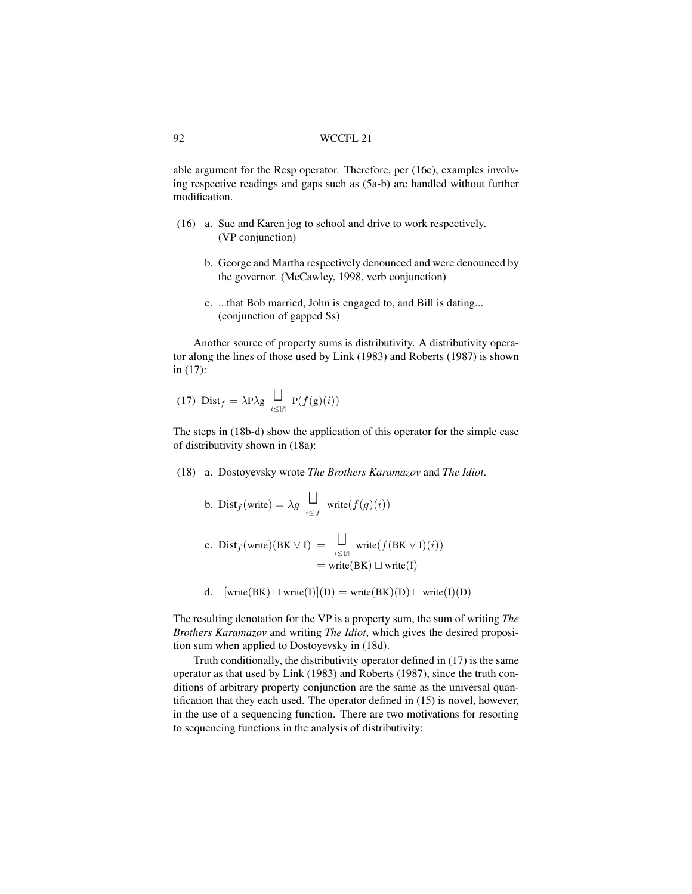able argument for the Resp operator. Therefore, per (16c), examples involving respective readings and gaps such as (5a-b) are handled without further modification.

- (16) a. Sue and Karen jog to school and drive to work respectively. (VP conjunction)
	- b. George and Martha respectively denounced and were denounced by the governor. (McCawley, 1998, verb conjunction)
	- c. ...that Bob married, John is engaged to, and Bill is dating... (conjunction of gapped Ss)

Another source of property sums is distributivity. A distributivity operator along the lines of those used by Link (1983) and Roberts (1987) is shown in (17):

(17) 
$$
\text{Dist}_f = \lambda \mathbf{P} \lambda \mathbf{g} \bigcup_{i \leq |f|} \mathbf{P}(f(\mathbf{g})(i))
$$

The steps in (18b-d) show the application of this operator for the simple case of distributivity shown in (18a):

(18) a. Dostoyevsky wrote *The Brothers Karamazov* and *The Idiot*.

b. 
$$
\text{Dist}_f(\text{write}) = \lambda g \bigcup_{i \leq |f|} \text{write}(f(g)(i))
$$

c. 
$$
\text{Dist}_f(\text{write})(BK \lor I) = \bigsqcup_{i \leq |f|} \text{write}(f(BK \lor I)(i))
$$
  
=  $\text{write}(BK) \sqcup \text{write}(I)$ 

d.  $[write(BK) \sqcup write(I)](D) = write(BK)(D) \sqcup write(I)(D)$ 

The resulting denotation for the VP is a property sum, the sum of writing *The Brothers Karamazov* and writing *The Idiot*, which gives the desired proposition sum when applied to Dostoyevsky in (18d).

Truth conditionally, the distributivity operator defined in (17) is the same operator as that used by Link (1983) and Roberts (1987), since the truth conditions of arbitrary property conjunction are the same as the universal quantification that they each used. The operator defined in (15) is novel, however, in the use of a sequencing function. There are two motivations for resorting to sequencing functions in the analysis of distributivity: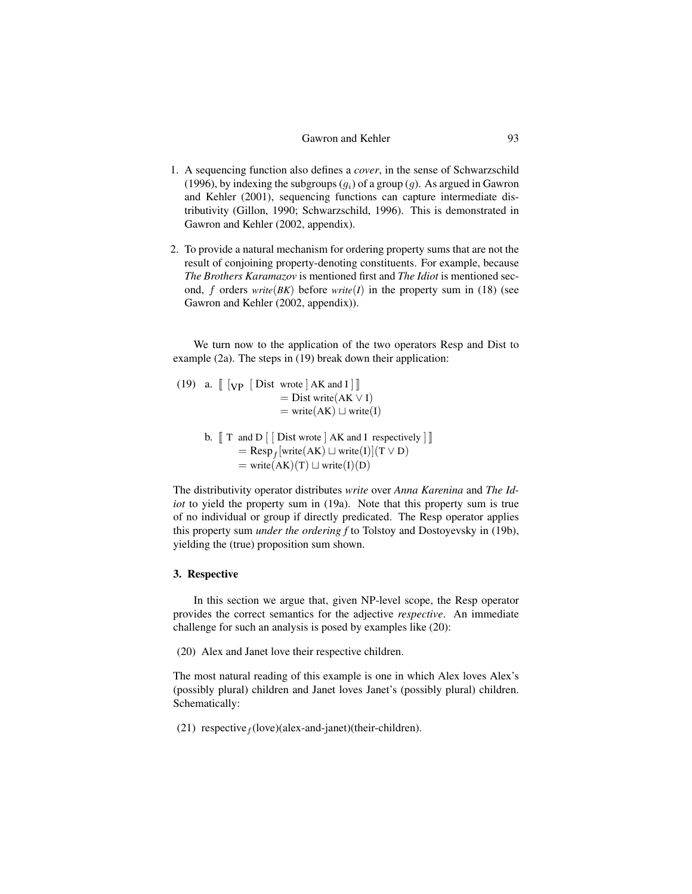- 1. A sequencing function also defines a *cover*, in the sense of Schwarzschild (1996), by indexing the subgroups  $(q_i)$  of a group  $(q)$ . As argued in Gawron and Kehler (2001), sequencing functions can capture intermediate distributivity (Gillon, 1990; Schwarzschild, 1996). This is demonstrated in Gawron and Kehler (2002, appendix).
- 2. To provide a natural mechanism for ordering property sums that are not the result of conjoining property-denoting constituents. For example, because *The Brothers Karamazov* is mentioned first and *The Idiot* is mentioned second, f orders *write*( $BK$ ) before *write*( $I$ ) in the property sum in (18) (see Gawron and Kehler (2002, appendix)).

We turn now to the application of the two operators Resp and Dist to example (2a). The steps in (19) break down their application:

(19) a.  $\left[\begin{array}{cc} \n\sqrt{2} & \n\sqrt{2} \\
\sqrt{2} & \n\sqrt{2} \\
\sqrt{2} & \n\sqrt{2} \\
\sqrt{2} & \n\sqrt{2} \\
\sqrt{2} & \n\sqrt{2} \\
\sqrt{2} & \n\sqrt{2} \\
\sqrt{2} & \n\sqrt{2} \\
\sqrt{2} & \n\sqrt{2} \\
\sqrt{2} & \n\sqrt{2} \\
\sqrt{2} & \n\sqrt{2} \\
\sqrt{2} & \n\sqrt{2} \\
\sqrt{2} & \n\sqrt{2} \\
\sqrt{2} & \n\sqrt{2} \\
\sqrt{2} & \n\sqrt{2} \\
\sqrt{2}$  $=$  Dist write(AK  $\vee$  I)  $=$  write(AK)  $\sqcup$  write(I)

> b.  $\lceil \int T \rceil$  and  $D \rceil$   $\lceil \int D \rceil$  is twrote  $\lceil A \rceil$  and  $I$  respectively  $\lceil \int \rceil$  $=$  Resp<sub>f</sub> [write(AK)  $\sqcup$  write(I)](T  $\lor$  D)  $=$  write( $\overline{A K}(T)$   $\Box$  write(I)(D)

The distributivity operator distributes *write* over *Anna Karenina* and *The Idiot* to yield the property sum in (19a). Note that this property sum is true of no individual or group if directly predicated. The Resp operator applies this property sum *under the ordering f* to Tolstoy and Dostoyevsky in (19b), yielding the (true) proposition sum shown.

#### 3. Respective

In this section we argue that, given NP-level scope, the Resp operator provides the correct semantics for the adjective *respective*. An immediate challenge for such an analysis is posed by examples like (20):

(20) Alex and Janet love their respective children.

The most natural reading of this example is one in which Alex loves Alex's (possibly plural) children and Janet loves Janet's (possibly plural) children. Schematically:

(21) respective  $_f$ (love)(alex-and-janet)(their-children).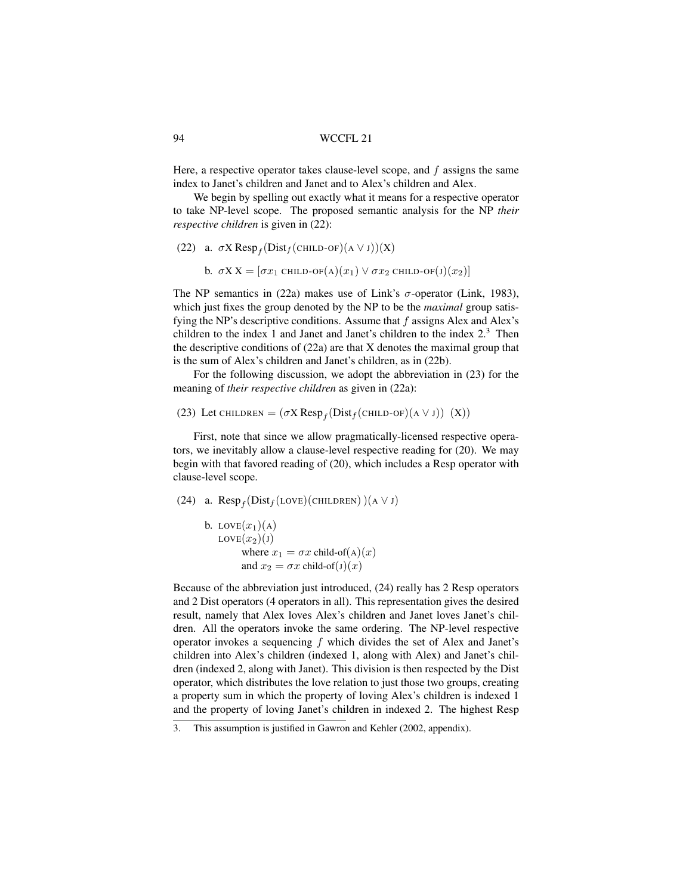Here, a respective operator takes clause-level scope, and  $f$  assigns the same index to Janet's children and Janet and to Alex's children and Alex.

We begin by spelling out exactly what it means for a respective operator to take NP-level scope. The proposed semantic analysis for the NP *their respective children* is given in (22):

```
(22) a. \sigma X \text{Resp}_f(\text{Dist}_f(\text{CHILD-OF})(A \lor J))(X)
```
b.  $\sigma XX = [\sigma x_1 \text{ CHILD-OF(A)}(x_1) \vee \sigma x_2 \text{ CHILD-OF(J)}(x_2)]$ 

The NP semantics in (22a) makes use of Link's  $\sigma$ -operator (Link, 1983), which just fixes the group denoted by the NP to be the *maximal* group satisfying the NP's descriptive conditions. Assume that  $f$  assigns Alex and Alex's children to the index 1 and Janet and Janet's children to the index  $2<sup>3</sup>$ . Then the descriptive conditions of (22a) are that X denotes the maximal group that is the sum of Alex's children and Janet's children, as in (22b).

For the following discussion, we adopt the abbreviation in (23) for the meaning of *their respective children* as given in (22a):

## (23) Let CHILDREN =  $(\sigma X \text{Resp}_f(\text{Dist}_f(\text{CHILD-OF})(A \lor J))$  (X))

First, note that since we allow pragmatically-licensed respective operators, we inevitably allow a clause-level respective reading for (20). We may begin with that favored reading of (20), which includes a Resp operator with clause-level scope.

```
(24) a. \text{Resp}_f(\text{Dist}_f(\text{Love})(\text{CHILDREN}))(A \lor J)
```

```
b. LOVE(x_1)(A)LOVE(x_2)(J)where x_1 = \sigma x child-of(A)(x)
        and x_2 = \sigma x child-of(J)(x)
```
Because of the abbreviation just introduced, (24) really has 2 Resp operators and 2 Dist operators (4 operators in all). This representation gives the desired result, namely that Alex loves Alex's children and Janet loves Janet's children. All the operators invoke the same ordering. The NP-level respective operator invokes a sequencing  $f$  which divides the set of Alex and Janet's children into Alex's children (indexed 1, along with Alex) and Janet's children (indexed 2, along with Janet). This division is then respected by the Dist operator, which distributes the love relation to just those two groups, creating a property sum in which the property of loving Alex's children is indexed 1 and the property of loving Janet's children in indexed 2. The highest Resp

<sup>3.</sup> This assumption is justified in Gawron and Kehler (2002, appendix).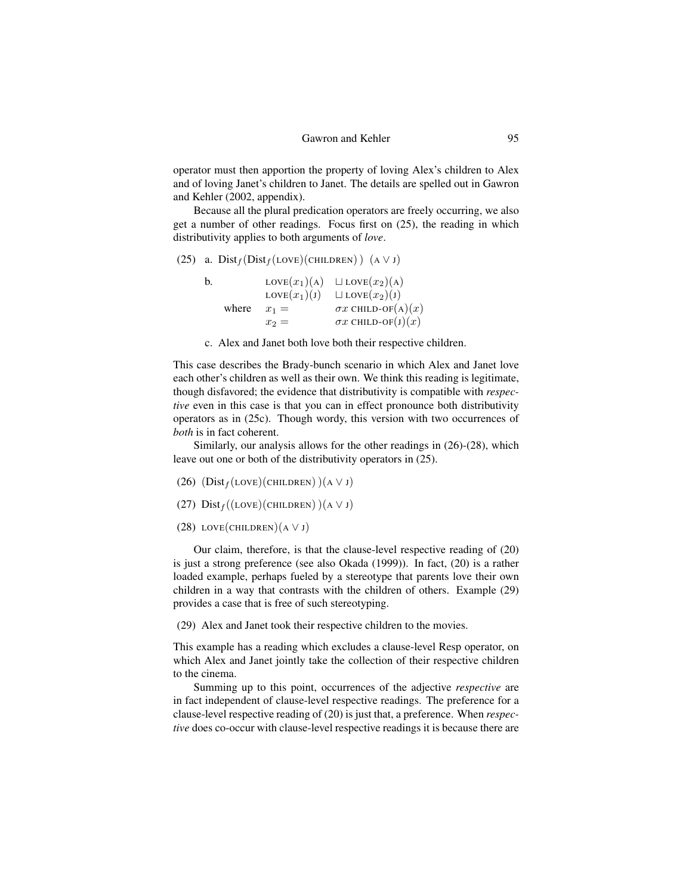operator must then apportion the property of loving Alex's children to Alex and of loving Janet's children to Janet. The details are spelled out in Gawron and Kehler (2002, appendix).

Because all the plural predication operators are freely occurring, we also get a number of other readings. Focus first on (25), the reading in which distributivity applies to both arguments of *love*.

```
(25) a. Dist_f(Dist_f(LOVE)(CHILDREN)) (A \vee J)
```

| b. |       | $LOVE(x_1)(A)$ | $\Box$ LOVE $(x_2)$ (A)   |
|----|-------|----------------|---------------------------|
|    |       | $LOVE(x_1)(J)$ | $\Box$ LOVE $(x_2)(J)$    |
|    | where | $x_1 =$        | $\sigma x$ CHILD-OF(A)(x) |
|    |       | $x_2 =$        | $\sigma x$ CHILD-OF(J)(x) |

c. Alex and Janet both love both their respective children.

This case describes the Brady-bunch scenario in which Alex and Janet love each other's children as well as their own. We think this reading is legitimate, though disfavored; the evidence that distributivity is compatible with *respective* even in this case is that you can in effect pronounce both distributivity operators as in (25c). Though wordy, this version with two occurrences of *both* is in fact coherent.

Similarly, our analysis allows for the other readings in (26)-(28), which leave out one or both of the distributivity operators in (25).

- (26)  $(Dist_f(Love)(CHILDREN))(A \vee J)$
- (27)  $Dist_f((\text{LOVE})(\text{CHILDREN})) (A \lor J)$
- (28) LOVE(CHILDREN)( $A \lor J$ )

Our claim, therefore, is that the clause-level respective reading of (20) is just a strong preference (see also Okada (1999)). In fact, (20) is a rather loaded example, perhaps fueled by a stereotype that parents love their own children in a way that contrasts with the children of others. Example (29) provides a case that is free of such stereotyping.

(29) Alex and Janet took their respective children to the movies.

This example has a reading which excludes a clause-level Resp operator, on which Alex and Janet jointly take the collection of their respective children to the cinema.

Summing up to this point, occurrences of the adjective *respective* are in fact independent of clause-level respective readings. The preference for a clause-level respective reading of (20) is just that, a preference. When *respective* does co-occur with clause-level respective readings it is because there are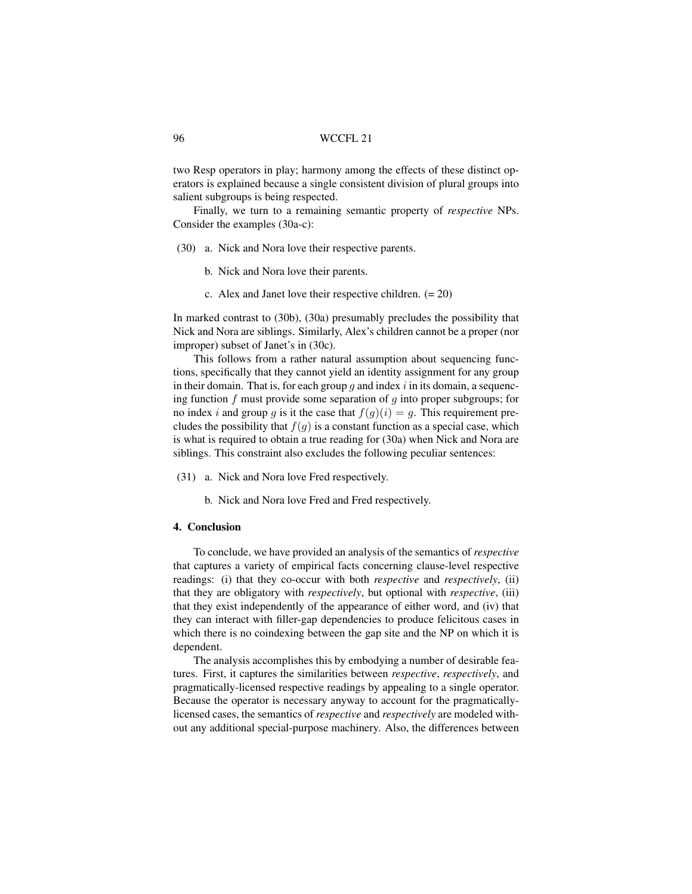two Resp operators in play; harmony among the effects of these distinct operators is explained because a single consistent division of plural groups into salient subgroups is being respected.

Finally, we turn to a remaining semantic property of *respective* NPs. Consider the examples (30a-c):

- (30) a. Nick and Nora love their respective parents.
	- b. Nick and Nora love their parents.
	- c. Alex and Janet love their respective children.  $(= 20)$

In marked contrast to (30b), (30a) presumably precludes the possibility that Nick and Nora are siblings. Similarly, Alex's children cannot be a proper (nor improper) subset of Janet's in (30c).

This follows from a rather natural assumption about sequencing functions, specifically that they cannot yield an identity assignment for any group in their domain. That is, for each group  $g$  and index  $i$  in its domain, a sequencing function f must provide some separation of  $q$  into proper subgroups; for no index i and group q is it the case that  $f(q)(i) = q$ . This requirement precludes the possibility that  $f(q)$  is a constant function as a special case, which is what is required to obtain a true reading for (30a) when Nick and Nora are siblings. This constraint also excludes the following peculiar sentences:

- (31) a. Nick and Nora love Fred respectively.
	- b. Nick and Nora love Fred and Fred respectively.

#### 4. Conclusion

To conclude, we have provided an analysis of the semantics of *respective* that captures a variety of empirical facts concerning clause-level respective readings: (i) that they co-occur with both *respective* and *respectively*, (ii) that they are obligatory with *respectively*, but optional with *respective*, (iii) that they exist independently of the appearance of either word, and (iv) that they can interact with filler-gap dependencies to produce felicitous cases in which there is no coindexing between the gap site and the NP on which it is dependent.

The analysis accomplishes this by embodying a number of desirable features. First, it captures the similarities between *respective*, *respectively*, and pragmatically-licensed respective readings by appealing to a single operator. Because the operator is necessary anyway to account for the pragmaticallylicensed cases, the semantics of *respective* and *respectively* are modeled without any additional special-purpose machinery. Also, the differences between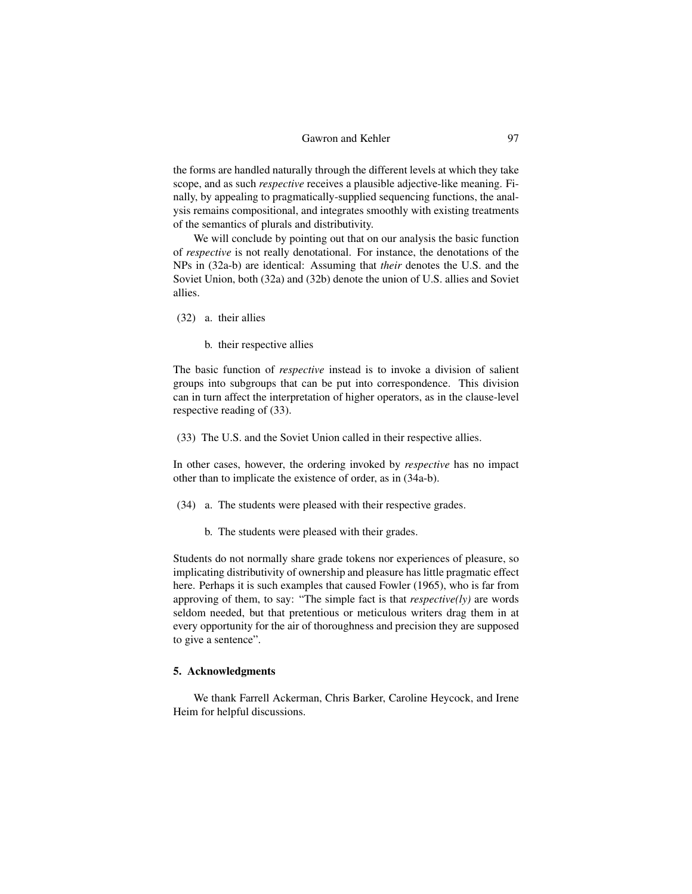the forms are handled naturally through the different levels at which they take scope, and as such *respective* receives a plausible adjective-like meaning. Finally, by appealing to pragmatically-supplied sequencing functions, the analysis remains compositional, and integrates smoothly with existing treatments of the semantics of plurals and distributivity.

We will conclude by pointing out that on our analysis the basic function of *respective* is not really denotational. For instance, the denotations of the NPs in (32a-b) are identical: Assuming that *their* denotes the U.S. and the Soviet Union, both (32a) and (32b) denote the union of U.S. allies and Soviet allies.

- (32) a. their allies
	- b. their respective allies

The basic function of *respective* instead is to invoke a division of salient groups into subgroups that can be put into correspondence. This division can in turn affect the interpretation of higher operators, as in the clause-level respective reading of (33).

(33) The U.S. and the Soviet Union called in their respective allies.

In other cases, however, the ordering invoked by *respective* has no impact other than to implicate the existence of order, as in (34a-b).

- (34) a. The students were pleased with their respective grades.
	- b. The students were pleased with their grades.

Students do not normally share grade tokens nor experiences of pleasure, so implicating distributivity of ownership and pleasure has little pragmatic effect here. Perhaps it is such examples that caused Fowler (1965), who is far from approving of them, to say: "The simple fact is that *respective(ly)* are words seldom needed, but that pretentious or meticulous writers drag them in at every opportunity for the air of thoroughness and precision they are supposed to give a sentence".

### 5. Acknowledgments

We thank Farrell Ackerman, Chris Barker, Caroline Heycock, and Irene Heim for helpful discussions.